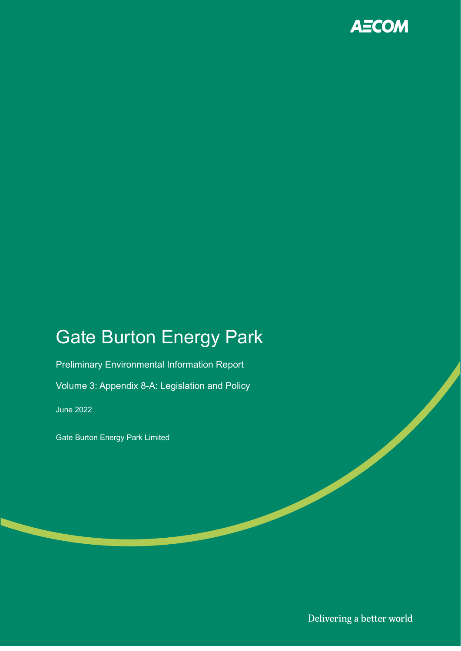

## Gate Burton Energy Park

Preliminary Environmental Information Report Volume 3: Appendix 8-A: Legislation and Policy

June 2022

Gate Burton Energy Park Limited

Delivering a better world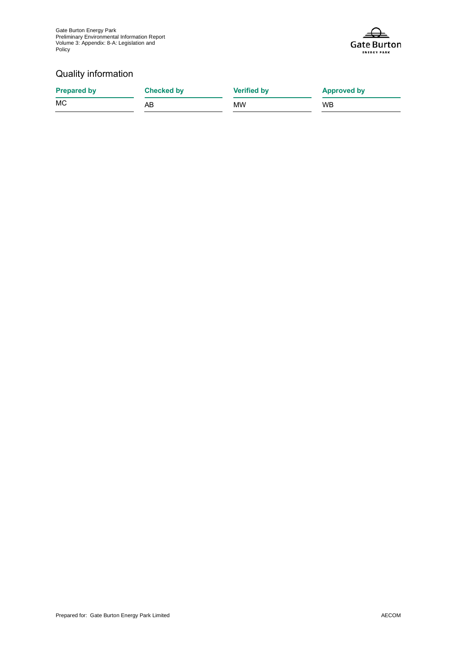Gate Burton Energy Park Preliminary Environmental Information Report Volume 3: Appendix: 8-A: Legislation and **Policy** 



#### Quality information

| <b>Prepared by</b> | <b>Checked by</b> | <b>Verified by</b> | <b>Approved by</b> |
|--------------------|-------------------|--------------------|--------------------|
| MC                 | AB                | МW                 | <b>WB</b>          |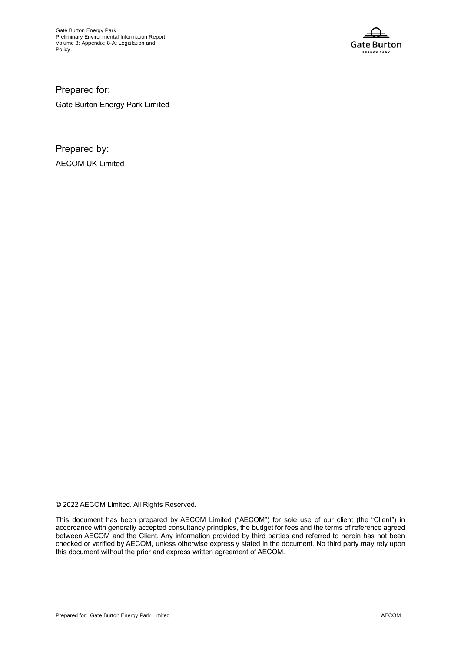Gate Burton Energy Park Preliminary Environmental Information Report Volume 3: Appendix: 8-A: Legislation and Policy



Prepared for: Gate Burton Energy Park Limited

Prepared by: AECOM UK Limited

© 2022 AECOM Limited. All Rights Reserved.

This document has been prepared by AECOM Limited ("AECOM") for sole use of our client (the "Client") in accordance with generally accepted consultancy principles, the budget for fees and the terms of reference agreed between AECOM and the Client. Any information provided by third parties and referred to herein has not been checked or verified by AECOM, unless otherwise expressly stated in the document. No third party may rely upon this document without the prior and express written agreement of AECOM.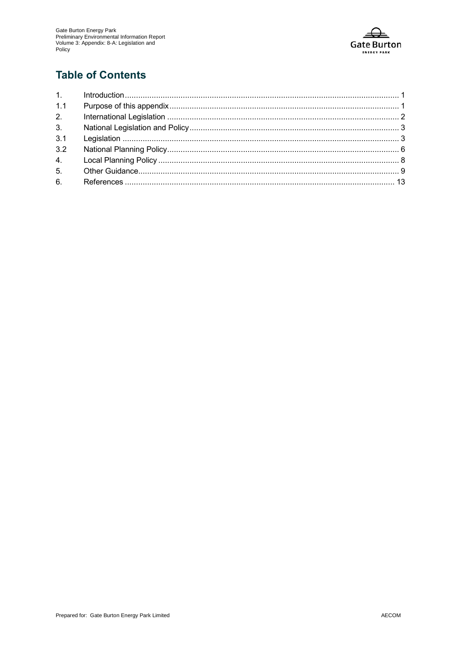

### **Table of Contents**

| 1.1 |  |
|-----|--|
| 2.  |  |
| 3.  |  |
| 3.1 |  |
| 3.2 |  |
|     |  |
|     |  |
|     |  |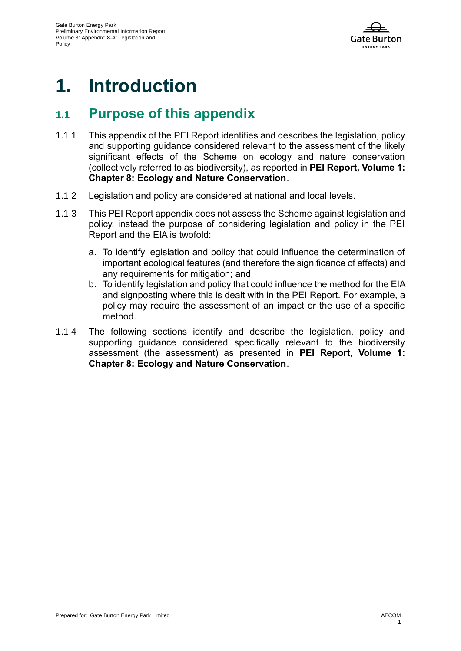

## **1. Introduction**

### **1.1 Purpose of this appendix**

- 1.1.1 This appendix of the PEI Report identifies and describes the legislation, policy and supporting guidance considered relevant to the assessment of the likely significant effects of the Scheme on ecology and nature conservation (collectively referred to as biodiversity), as reported in **PEI Report, Volume 1: Chapter 8: Ecology and Nature Conservation**.
- 1.1.2 Legislation and policy are considered at national and local levels.
- 1.1.3 This PEI Report appendix does not assess the Scheme against legislation and policy, instead the purpose of considering legislation and policy in the PEI Report and the EIA is twofold:
	- a. To identify legislation and policy that could influence the determination of important ecological features (and therefore the significance of effects) and any requirements for mitigation; and
	- b. To identify legislation and policy that could influence the method for the EIA and signposting where this is dealt with in the PEI Report. For example, a policy may require the assessment of an impact or the use of a specific method.
- 1.1.4 The following sections identify and describe the legislation, policy and supporting guidance considered specifically relevant to the biodiversity assessment (the assessment) as presented in **PEI Report, Volume 1: Chapter 8: Ecology and Nature Conservation**.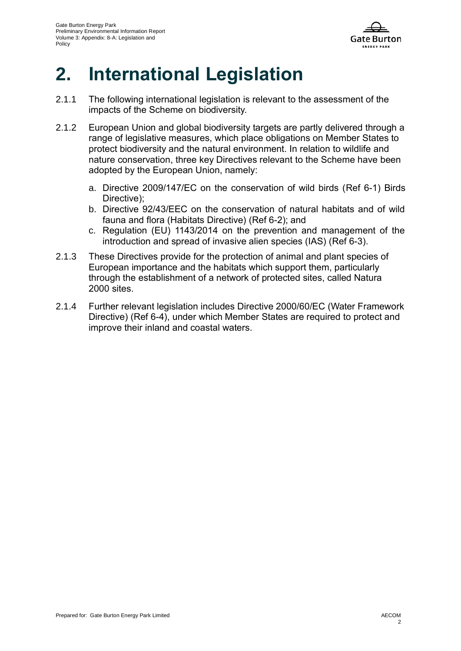

# **2. International Legislation**

- 2.1.1 The following international legislation is relevant to the assessment of the impacts of the Scheme on biodiversity.
- 2.1.2 European Union and global biodiversity targets are partly delivered through a range of legislative measures, which place obligations on Member States to protect biodiversity and the natural environment. In relation to wildlife and nature conservation, three key Directives relevant to the Scheme have been adopted by the European Union, namely:
	- a. Directive 2009/147/EC on the conservation of wild birds [\(Ref 6-1\)](#page-16-0) Birds Directive);
	- b. Directive 92/43/EEC on the conservation of natural habitats and of wild fauna and flora (Habitats Directive) [\(Ref 6-2\)](#page-16-1); and
	- c. Regulation (EU) 1143/2014 on the prevention and management of the introduction and spread of invasive alien species (IAS) [\(Ref 6-3\)](#page-16-2).
- 2.1.3 These Directives provide for the protection of animal and plant species of European importance and the habitats which support them, particularly through the establishment of a network of protected sites, called Natura 2000 sites.
- 2.1.4 Further relevant legislation includes Directive 2000/60/EC (Water Framework Directive) [\(Ref 6-4\)](#page-16-3), under which Member States are required to protect and improve their inland and coastal waters.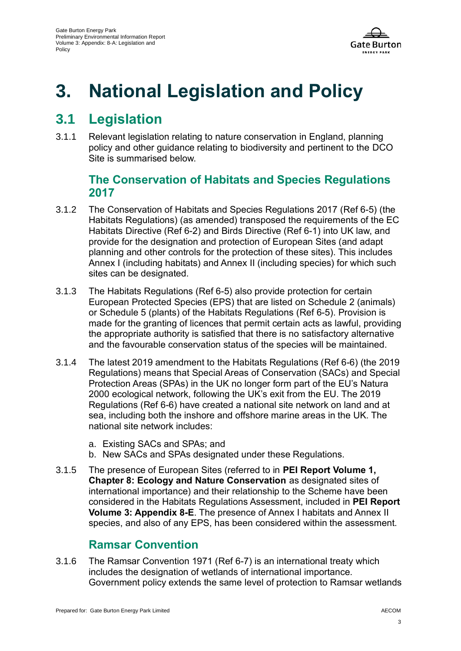

# **3. National Legislation and Policy**

### **3.1 Legislation**

3.1.1 Relevant legislation relating to nature conservation in England, planning policy and other guidance relating to biodiversity and pertinent to the DCO Site is summarised below.

#### **The Conservation of Habitats and Species Regulations 2017**

- 3.1.2 The Conservation of Habitats and Species Regulations 2017 [\(Ref 6-5\)](#page-16-4) (the Habitats Regulations) (as amended) transposed the requirements of the EC Habitats Directive [\(Ref 6-2\)](#page-16-1) and Birds Directive [\(Ref 6-1\)](#page-16-0) into UK law, and provide for the designation and protection of European Sites (and adapt planning and other controls for the protection of these sites). This includes Annex I (including habitats) and Annex II (including species) for which such sites can be designated.
- 3.1.3 The Habitats Regulations [\(Ref 6-5\)](#page-16-4) also provide protection for certain European Protected Species (EPS) that are listed on Schedule 2 (animals) or Schedule 5 (plants) of the Habitats Regulations [\(Ref 6-5\)](#page-16-4). Provision is made for the granting of licences that permit certain acts as lawful, providing the appropriate authority is satisfied that there is no satisfactory alternative and the favourable conservation status of the species will be maintained.
- 3.1.4 The latest 2019 amendment to the Habitats Regulations [\(Ref 6-6\)](#page-16-5) (the 2019 Regulations) means that Special Areas of Conservation (SACs) and Special Protection Areas (SPAs) in the UK no longer form part of the EU's Natura 2000 ecological network, following the UK's exit from the EU. The 2019 Regulations [\(Ref 6-6\)](#page-16-5) have created a national site network on land and at sea, including both the inshore and offshore marine areas in the UK. The national site network includes:
	- a. Existing SACs and SPAs; and
	- b. New SACs and SPAs designated under these Regulations.
- 3.1.5 The presence of European Sites (referred to in **PEI Report Volume 1, Chapter 8: Ecology and Nature Conservation** as designated sites of international importance) and their relationship to the Scheme have been considered in the Habitats Regulations Assessment, included in **PEI Report Volume 3: Appendix 8-E**. The presence of Annex I habitats and Annex II species, and also of any EPS, has been considered within the assessment.

#### **Ramsar Convention**

3.1.6 The Ramsar Convention 1971 [\(Ref 6-7\)](#page-16-6) is an international treaty which includes the designation of wetlands of international importance. Government policy extends the same level of protection to Ramsar wetlands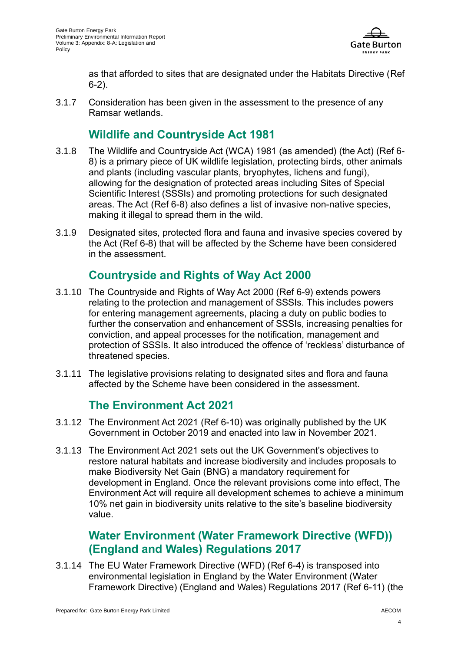

as that afforded to sites that are designated under the Habitats Directive [\(Ref](#page-16-1)  [6-2\)](#page-16-1).

3.1.7 Consideration has been given in the assessment to the presence of any Ramsar wetlands.

#### **Wildlife and Countryside Act 1981**

- 3.1.8 The Wildlife and Countryside Act (WCA) 1981 (as amended) (the Act) [\(Ref 6-](#page-16-7) [8\)](#page-16-7) is a primary piece of UK wildlife legislation, protecting birds, other animals and plants (including vascular plants, bryophytes, lichens and fungi), allowing for the designation of protected areas including Sites of Special Scientific Interest (SSSIs) and promoting protections for such designated areas. The Act [\(Ref 6-8\)](#page-16-7) also defines a list of invasive non-native species, making it illegal to spread them in the wild.
- 3.1.9 Designated sites, protected flora and fauna and invasive species covered by the Act [\(Ref 6-8\)](#page-16-7) that will be affected by the Scheme have been considered in the assessment.

#### **Countryside and Rights of Way Act 2000**

- 3.1.10 The Countryside and Rights of Way Act 2000 [\(Ref 6-9\)](#page-16-8) extends powers relating to the protection and management of SSSIs. This includes powers for entering management agreements, placing a duty on public bodies to further the conservation and enhancement of SSSIs, increasing penalties for conviction, and appeal processes for the notification, management and protection of SSSIs. It also introduced the offence of 'reckless' disturbance of threatened species.
- 3.1.11 The legislative provisions relating to designated sites and flora and fauna affected by the Scheme have been considered in the assessment.

#### **The Environment Act 2021**

- 3.1.12 The Environment Act 2021 [\(Ref 6-10\)](#page-16-9) was originally published by the UK Government in October 2019 and enacted into law in November 2021.
- 3.1.13 The Environment Act 2021 sets out the UK Government's objectives to restore natural habitats and increase biodiversity and includes proposals to make Biodiversity Net Gain (BNG) a mandatory requirement for development in England. Once the relevant provisions come into effect, The Environment Act will require all development schemes to achieve a minimum 10% net gain in biodiversity units relative to the site's baseline biodiversity value.

#### **Water Environment (Water Framework Directive (WFD)) (England and Wales) Regulations 2017**

3.1.14 The EU Water Framework Directive (WFD) [\(Ref 6-4\)](#page-16-3) is transposed into environmental legislation in England by the Water Environment (Water Framework Directive) (England and Wales) Regulations 2017 [\(Ref 6-11\)](#page-16-10) (the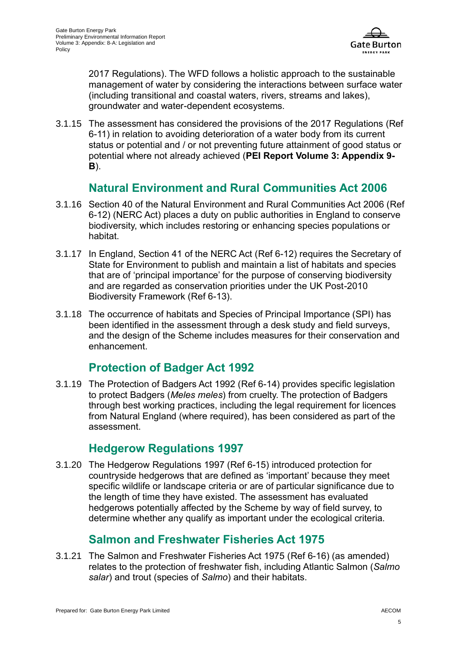

2017 Regulations). The WFD follows a holistic approach to the sustainable management of water by considering the interactions between surface water (including transitional and coastal waters, rivers, streams and lakes), groundwater and water-dependent ecosystems.

3.1.15 The assessment has considered the provisions of the 2017 Regulations [\(Ref](#page-16-10)  [6-11\)](#page-16-10) in relation to avoiding deterioration of a water body from its current status or potential and / or not preventing future attainment of good status or potential where not already achieved (**PEI Report Volume 3: Appendix 9- B**).

#### **Natural Environment and Rural Communities Act 2006**

- 3.1.16 Section 40 of the Natural Environment and Rural Communities Act 2006 [\(Ref](#page-16-11)  [6-12\)](#page-16-11) (NERC Act) places a duty on public authorities in England to conserve biodiversity, which includes restoring or enhancing species populations or habitat.
- 3.1.17 In England, Section 41 of the NERC Act [\(Ref 6-12\)](#page-16-11) requires the Secretary of State for Environment to publish and maintain a list of habitats and species that are of 'principal importance' for the purpose of conserving biodiversity and are regarded as conservation priorities under the UK Post-2010 Biodiversity Framework [\(Ref 6-13\)](#page-16-12).
- 3.1.18 The occurrence of habitats and Species of Principal Importance (SPI) has been identified in the assessment through a desk study and field surveys, and the design of the Scheme includes measures for their conservation and enhancement.

#### **Protection of Badger Act 1992**

3.1.19 The Protection of Badgers Act 1992 [\(Ref 6-14\)](#page-16-13) provides specific legislation to protect Badgers (*Meles meles*) from cruelty. The protection of Badgers through best working practices, including the legal requirement for licences from Natural England (where required), has been considered as part of the assessment.

#### **Hedgerow Regulations 1997**

3.1.20 The Hedgerow Regulations 1997 [\(Ref 6-15\)](#page-16-14) introduced protection for countryside hedgerows that are defined as 'important' because they meet specific wildlife or landscape criteria or are of particular significance due to the length of time they have existed. The assessment has evaluated hedgerows potentially affected by the Scheme by way of field survey, to determine whether any qualify as important under the ecological criteria.

#### **Salmon and Freshwater Fisheries Act 1975**

3.1.21 The Salmon and Freshwater Fisheries Act 1975 [\(Ref 6-16\)](#page-16-15) (as amended) relates to the protection of freshwater fish, including Atlantic Salmon (*Salmo salar*) and trout (species of *Salmo*) and their habitats.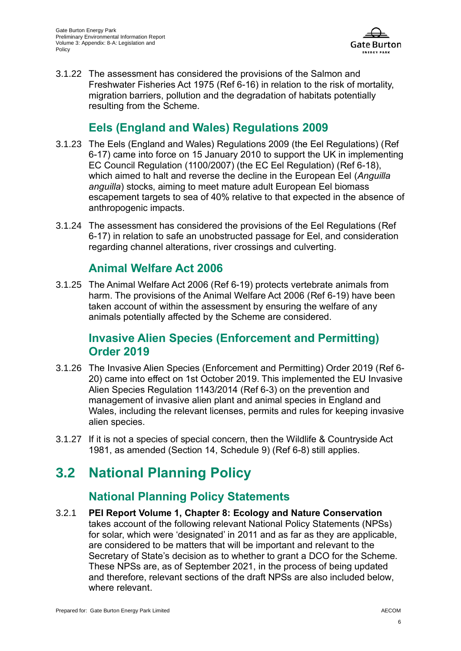

3.1.22 The assessment has considered the provisions of the Salmon and Freshwater Fisheries Act 1975 [\(Ref 6-16\)](#page-16-15) in relation to the risk of mortality, migration barriers, pollution and the degradation of habitats potentially resulting from the Scheme.

#### **Eels (England and Wales) Regulations 2009**

- 3.1.23 The Eels (England and Wales) Regulations 2009 (the Eel Regulations) [\(Ref](#page-16-16)  [6-17\)](#page-16-16) came into force on 15 January 2010 to support the UK in implementing EC Council Regulation (1100/2007) (the EC Eel Regulation) [\(Ref 6-18\)](#page-16-17), which aimed to halt and reverse the decline in the European Eel (*Anguilla anguilla*) stocks, aiming to meet mature adult European Eel biomass escapement targets to sea of 40% relative to that expected in the absence of anthropogenic impacts.
- 3.1.24 The assessment has considered the provisions of the Eel Regulations [\(Ref](#page-16-16)  [6-17\)](#page-16-16) in relation to safe an unobstructed passage for Eel, and consideration regarding channel alterations, river crossings and culverting.

#### **Animal Welfare Act 2006**

3.1.25 The Animal Welfare Act 2006 [\(Ref 6-19\)](#page-16-18) protects vertebrate animals from harm. The provisions of the Animal Welfare Act 2006 [\(Ref 6-19\)](#page-16-18) have been taken account of within the assessment by ensuring the welfare of any animals potentially affected by the Scheme are considered.

#### **Invasive Alien Species (Enforcement and Permitting) Order 2019**

- 3.1.26 The Invasive Alien Species (Enforcement and Permitting) Order 2019 [\(Ref 6-](#page-16-19) [20\)](#page-16-19) came into effect on 1st October 2019. This implemented the EU Invasive Alien Species Regulation 1143/2014 [\(Ref 6-3\)](#page-16-2) on the prevention and management of invasive alien plant and animal species in England and Wales, including the relevant licenses, permits and rules for keeping invasive alien species.
- 3.1.27 If it is not a species of special concern, then the Wildlife & Countryside Act 1981, as amended (Section 14, Schedule 9) [\(Ref 6-8\)](#page-16-7) still applies.

### **3.2 National Planning Policy**

#### **National Planning Policy Statements**

3.2.1 **PEI Report Volume 1, Chapter 8: Ecology and Nature Conservation** takes account of the following relevant National Policy Statements (NPSs) for solar, which were 'designated' in 2011 and as far as they are applicable, are considered to be matters that will be important and relevant to the Secretary of State's decision as to whether to grant a DCO for the Scheme. These NPSs are, as of September 2021, in the process of being updated and therefore, relevant sections of the draft NPSs are also included below, where relevant.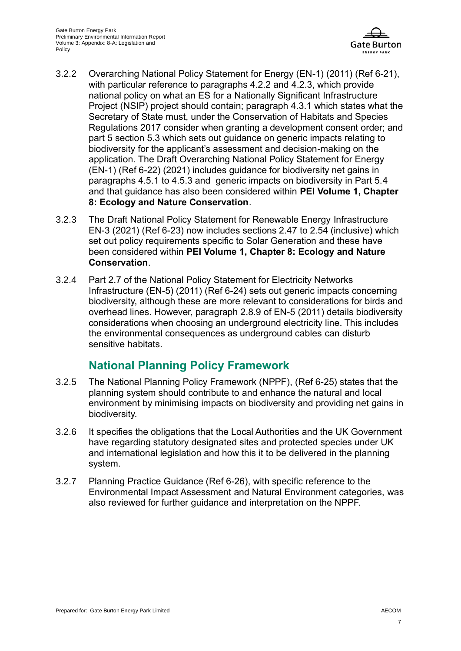

- 3.2.2 Overarching National Policy Statement for Energy (EN-1) (2011) [\(Ref 6-21\)](#page-16-20), with particular reference to paragraphs 4.2.2 and 4.2.3, which provide national policy on what an ES for a Nationally Significant Infrastructure Project (NSIP) project should contain; paragraph 4.3.1 which states what the Secretary of State must, under the Conservation of Habitats and Species Regulations 2017 consider when granting a development consent order; and part 5 section 5.3 which sets out guidance on generic impacts relating to biodiversity for the applicant's assessment and decision-making on the application. The Draft Overarching National Policy Statement for Energy (EN-1) [\(Ref 6-22\)](#page-16-21) (2021) includes guidance for biodiversity net gains in paragraphs 4.5.1 to 4.5.3 and generic impacts on biodiversity in Part 5.4 and that guidance has also been considered within **PEI Volume 1, Chapter 8: Ecology and Nature Conservation**.
- 3.2.3 The Draft National Policy Statement for Renewable Energy Infrastructure EN-3 (2021) [\(Ref 6-23\)](#page-16-22) now includes sections 2.47 to 2.54 (inclusive) which set out policy requirements specific to Solar Generation and these have been considered within **PEI Volume 1, Chapter 8: Ecology and Nature Conservation**.
- 3.2.4 Part 2.7 of the National Policy Statement for Electricity Networks Infrastructure (EN-5) (2011) [\(Ref 6-24\)](#page-16-23) sets out generic impacts concerning biodiversity, although these are more relevant to considerations for birds and overhead lines. However, paragraph 2.8.9 of EN-5 (2011) details biodiversity considerations when choosing an underground electricity line. This includes the environmental consequences as underground cables can disturb sensitive habitats.

#### **National Planning Policy Framework**

- 3.2.5 The National Planning Policy Framework (NPPF), [\(Ref 6-25\)](#page-16-24) states that the planning system should contribute to and enhance the natural and local environment by minimising impacts on biodiversity and providing net gains in biodiversity.
- 3.2.6 It specifies the obligations that the Local Authorities and the UK Government have regarding statutory designated sites and protected species under UK and international legislation and how this it to be delivered in the planning system.
- 3.2.7 Planning Practice Guidance [\(Ref 6-26\)](#page-16-25), with specific reference to the Environmental Impact Assessment and Natural Environment categories, was also reviewed for further guidance and interpretation on the NPPF.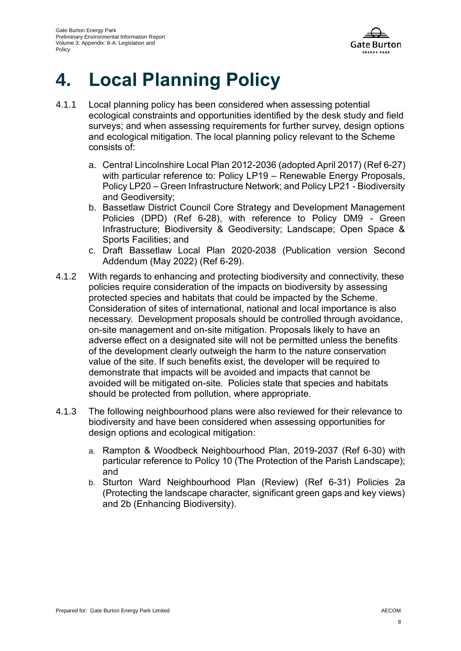

## **4. Local Planning Policy**

- 4.1.1 Local planning policy has been considered when assessing potential ecological constraints and opportunities identified by the desk study and field surveys; and when assessing requirements for further survey, design options and ecological mitigation. The local planning policy relevant to the Scheme consists of:
	- a. Central Lincolnshire Local Plan 2012-2036 (adopted April 2017) [\(Ref 6-27\)](#page-16-26) with particular reference to: Policy LP19 – Renewable Energy Proposals, Policy LP20 – Green Infrastructure Network; and Policy LP21 - Biodiversity and Geodiversity;
	- b. Bassetlaw District Council Core Strategy and Development Management Policies (DPD) [\(Ref 6-28\)](#page-16-27), with reference to Policy DM9 - Green Infrastructure; Biodiversity & Geodiversity; Landscape; Open Space & Sports Facilities; and
	- c. Draft Bassetlaw Local Plan 2020-2038 (Publication version Second Addendum (May 2022) [\(Ref 6-29\)](#page-17-0).
- 4.1.2 With regards to enhancing and protecting biodiversity and connectivity, these policies require consideration of the impacts on biodiversity by assessing protected species and habitats that could be impacted by the Scheme. Consideration of sites of international, national and local importance is also necessary. Development proposals should be controlled through avoidance, on-site management and on-site mitigation. Proposals likely to have an adverse effect on a designated site will not be permitted unless the benefits of the development clearly outweigh the harm to the nature conservation value of the site. If such benefits exist, the developer will be required to demonstrate that impacts will be avoided and impacts that cannot be avoided will be mitigated on-site. Policies state that species and habitats should be protected from pollution, where appropriate.
- 4.1.3 The following neighbourhood plans were also reviewed for their relevance to biodiversity and have been considered when assessing opportunities for design options and ecological mitigation:
	- a. Rampton & Woodbeck Neighbourhood Plan, 2019-2037 [\(Ref 6-30\)](#page-17-1) with particular reference to Policy 10 (The Protection of the Parish Landscape); and
	- b. Sturton Ward Neighbourhood Plan (Review) [\(Ref 6-31\)](#page-17-2) Policies 2a (Protecting the landscape character, significant green gaps and key views) and 2b (Enhancing Biodiversity).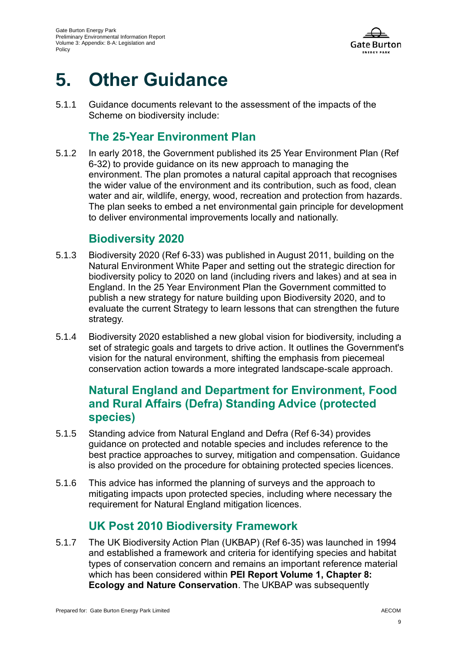

## **5. Other Guidance**

5.1.1 Guidance documents relevant to the assessment of the impacts of the Scheme on biodiversity include:

#### **The 25-Year Environment Plan**

5.1.2 In early 2018, the Government published its 25 Year Environment Plan [\(Ref](#page-17-3)  [6-32\)](#page-17-3) to provide guidance on its new approach to managing the environment. The plan promotes a natural capital approach that recognises the wider value of the environment and its contribution, such as food, clean water and air, wildlife, energy, wood, recreation and protection from hazards. The plan seeks to embed a net environmental gain principle for development to deliver environmental improvements locally and nationally.

#### **Biodiversity 2020**

- 5.1.3 Biodiversity 2020 [\(Ref 6-33\)](#page-17-4) was published in August 2011, building on the Natural Environment White Paper and setting out the strategic direction for biodiversity policy to 2020 on land (including rivers and lakes) and at sea in England. In the 25 Year Environment Plan the Government committed to publish a new strategy for nature building upon Biodiversity 2020, and to evaluate the current Strategy to learn lessons that can strengthen the future strategy.
- 5.1.4 Biodiversity 2020 established a new global vision for biodiversity, including a set of strategic goals and targets to drive action. It outlines the Government's vision for the natural environment, shifting the emphasis from piecemeal conservation action towards a more integrated landscape-scale approach.

#### **Natural England and Department for Environment, Food and Rural Affairs (Defra) Standing Advice (protected species)**

- 5.1.5 Standing advice from Natural England and Defra [\(Ref 6-34\)](#page-17-5) provides guidance on protected and notable species and includes reference to the best practice approaches to survey, mitigation and compensation. Guidance is also provided on the procedure for obtaining protected species licences.
- 5.1.6 This advice has informed the planning of surveys and the approach to mitigating impacts upon protected species, including where necessary the requirement for Natural England mitigation licences.

#### **UK Post 2010 Biodiversity Framework**

5.1.7 The UK Biodiversity Action Plan (UKBAP) [\(Ref 6-35\)](#page-17-6) was launched in 1994 and established a framework and criteria for identifying species and habitat types of conservation concern and remains an important reference material which has been considered within **PEI Report Volume 1, Chapter 8: Ecology and Nature Conservation**. The UKBAP was subsequently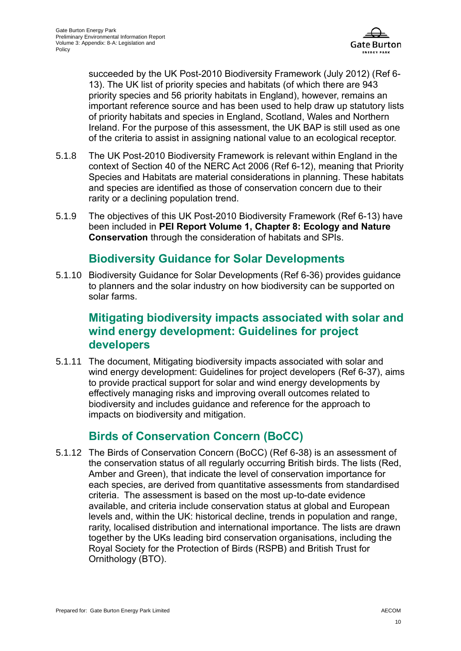

succeeded by the UK Post-2010 Biodiversity Framework (July 2012) [\(Ref 6-](#page-16-12) [13\)](#page-16-12). The UK list of priority species and habitats (of which there are 943 priority species and 56 priority habitats in England), however, remains an important reference source and has been used to help draw up statutory lists of priority habitats and species in England, Scotland, Wales and Northern Ireland. For the purpose of this assessment, the UK BAP is still used as one of the criteria to assist in assigning national value to an ecological receptor.

- 5.1.8 The UK Post-2010 Biodiversity Framework is relevant within England in the context of Section 40 of the NERC Act 2006 [\(Ref 6-12\)](#page-16-11), meaning that Priority Species and Habitats are material considerations in planning. These habitats and species are identified as those of conservation concern due to their rarity or a declining population trend.
- 5.1.9 The objectives of this UK Post-2010 Biodiversity Framework [\(Ref 6-13\)](#page-16-12) have been included in **PEI Report Volume 1, Chapter 8: Ecology and Nature Conservation** through the consideration of habitats and SPIs.

#### **Biodiversity Guidance for Solar Developments**

5.1.10 Biodiversity Guidance for Solar Developments [\(Ref 6-36\)](#page-17-7) provides guidance to planners and the solar industry on how biodiversity can be supported on solar farms.

#### **Mitigating biodiversity impacts associated with solar and wind energy development: Guidelines for project developers**

5.1.11 The document, Mitigating biodiversity impacts associated with solar and wind energy development: Guidelines for project developers [\(Ref 6-37\)](#page-17-8), aims to provide practical support for solar and wind energy developments by effectively managing risks and improving overall outcomes related to biodiversity and includes guidance and reference for the approach to impacts on biodiversity and mitigation.

#### **Birds of Conservation Concern (BoCC)**

5.1.12 The Birds of Conservation Concern (BoCC) [\(Ref 6-38\)](#page-17-9) is an assessment of the conservation status of all regularly occurring British birds. The lists (Red, Amber and Green), that indicate the level of conservation importance for each species, are derived from quantitative assessments from standardised criteria. The assessment is based on the most up-to-date evidence available, and criteria include conservation status at global and European levels and, within the UK: historical decline, trends in population and range, rarity, localised distribution and international importance. The lists are drawn together by the UKs leading bird conservation organisations, including the Royal Society for the Protection of Birds (RSPB) and British Trust for Ornithology (BTO).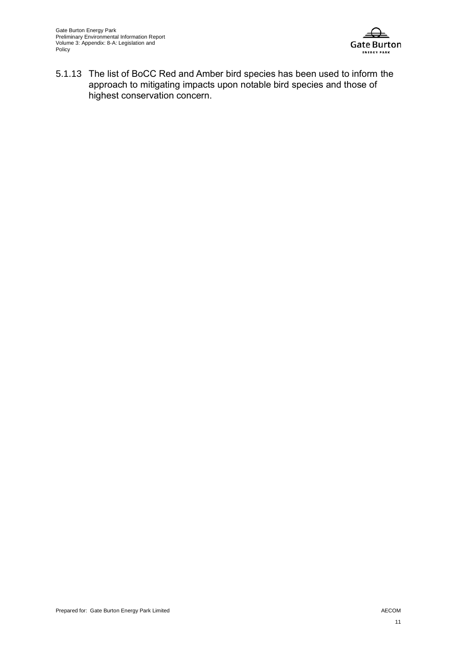

5.1.13 The list of BoCC Red and Amber bird species has been used to inform the approach to mitigating impacts upon notable bird species and those of highest conservation concern.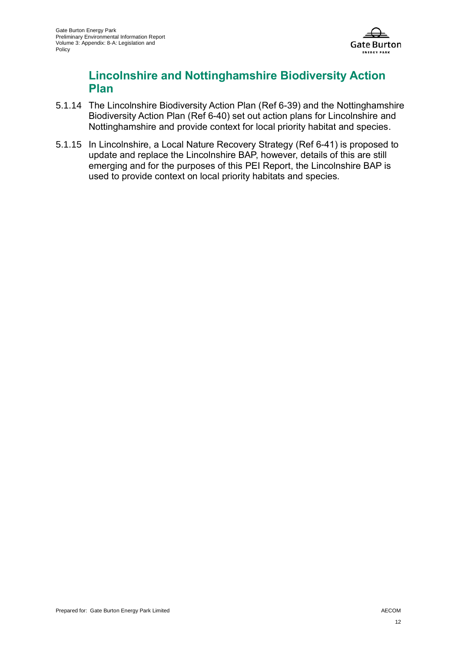

#### **Lincolnshire and Nottinghamshire Biodiversity Action Plan**

- 5.1.14 The Lincolnshire Biodiversity Action Plan [\(Ref 6-39\)](#page-17-10) and the Nottinghamshire Biodiversity Action Plan [\(Ref 6-40\)](#page-17-11) set out action plans for Lincolnshire and Nottinghamshire and provide context for local priority habitat and species.
- 5.1.15 In Lincolnshire, a Local Nature Recovery Strategy [\(Ref 6-41\)](#page-17-12) is proposed to update and replace the Lincolnshire BAP, however, details of this are still emerging and for the purposes of this PEI Report, the Lincolnshire BAP is used to provide context on local priority habitats and species.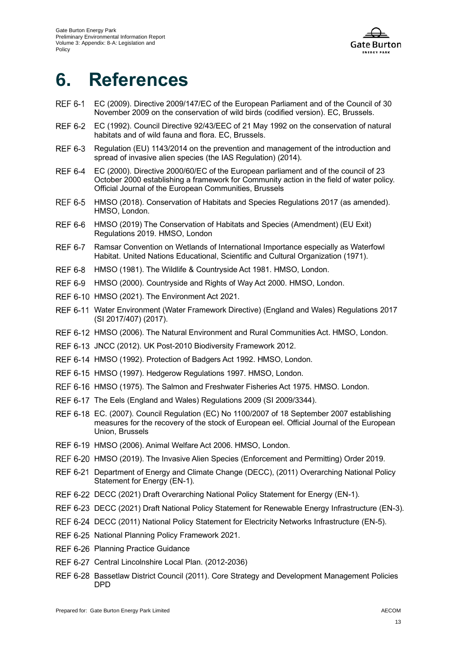

### **6. References**

- <span id="page-16-0"></span>EC (2009). Directive 2009/147/EC of the European Parliament and of the Council of 30 November 2009 on the conservation of wild birds (codified version). EC, Brussels.
- <span id="page-16-1"></span>**REF 6-2** EC (1992). Council Directive 92/43/EEC of 21 May 1992 on the conservation of natural habitats and of wild fauna and flora. EC, Brussels.
- <span id="page-16-2"></span>**REF 6-3** Regulation (EU) 1143/2014 on the prevention and management of the introduction and spread of invasive alien species (the IAS Regulation) (2014).
- <span id="page-16-3"></span>**REF 6-4** EC (2000). Directive 2000/60/EC of the European parliament and of the council of 23 October 2000 establishing a framework for Community action in the field of water policy. Official Journal of the European Communities, Brussels
- <span id="page-16-4"></span>**REF 6-5** HMSO (2018). Conservation of Habitats and Species Regulations 2017 (as amended). HMSO, London.
- <span id="page-16-5"></span>HMSO (2019) The Conservation of Habitats and Species (Amendment) (EU Exit) **REF 6-6** Regulations 2019. HMSO, London
- <span id="page-16-6"></span>**REF 6-7** Ramsar Convention on Wetlands of International Importance especially as Waterfowl Habitat. United Nations Educational, Scientific and Cultural Organization (1971).
- <span id="page-16-7"></span>**REF 6-8** HMSO (1981). The Wildlife & Countryside Act 1981. HMSO, London.
- <span id="page-16-8"></span>REF 6-9 HMSO (2000). Countryside and Rights of Way Act 2000. HMSO, London.
- <span id="page-16-9"></span>REF 6-10 HMSO (2021). The Environment Act 2021.
- <span id="page-16-10"></span>REF 6-11 Water Environment (Water Framework Directive) (England and Wales) Regulations 2017 (SI 2017/407) (2017).
- <span id="page-16-11"></span>REF 6-12 HMSO (2006). The Natural Environment and Rural Communities Act. HMSO, London.
- <span id="page-16-12"></span>REF 6-13 JNCC (2012). UK Post-2010 Biodiversity Framework 2012.
- <span id="page-16-13"></span>REF 6-14 HMSO (1992). Protection of Badgers Act 1992. HMSO, London.
- <span id="page-16-14"></span>REF 6-15 HMSO (1997). Hedgerow Regulations 1997. HMSO, London.
- <span id="page-16-15"></span>REF 6-16 HMSO (1975). The Salmon and Freshwater Fisheries Act 1975. HMSO. London.
- <span id="page-16-16"></span>REF 6-17 The Eels (England and Wales) Regulations 2009 (SI 2009/3344).
- <span id="page-16-17"></span>EC. (2007). Council Regulation (EC) No 1100/2007 of 18 September 2007 establishing measures for the recovery of the stock of European eel. Official Journal of the European Union, Brussels
- <span id="page-16-18"></span>REF 6-19 HMSO (2006). Animal Welfare Act 2006. HMSO, London.
- <span id="page-16-19"></span>REF 6-20 HMSO (2019). The Invasive Alien Species (Enforcement and Permitting) Order 2019.
- <span id="page-16-20"></span>REF 6-21 Department of Energy and Climate Change (DECC), (2011) Overarching National Policy Statement for Energy (EN-1).
- <span id="page-16-21"></span>REF 6-22 DECC (2021) Draft Overarching National Policy Statement for Energy (EN-1).
- <span id="page-16-22"></span>REF 6-23 DECC (2021) Draft National Policy Statement for Renewable Energy Infrastructure (EN-3).
- <span id="page-16-23"></span>REF 6-24 DECC (2011) National Policy Statement for Electricity Networks Infrastructure (EN-5).
- <span id="page-16-24"></span>REF 6-25 National Planning Policy Framework 2021.
- <span id="page-16-25"></span>REF 6-26 Planning Practice Guidance
- <span id="page-16-26"></span>REF 6-27 Central Lincolnshire Local Plan. (2012-2036)
- <span id="page-16-27"></span>REF 6-28 Bassetlaw District Council (2011). Core Strategy and Development Management Policies **DPD**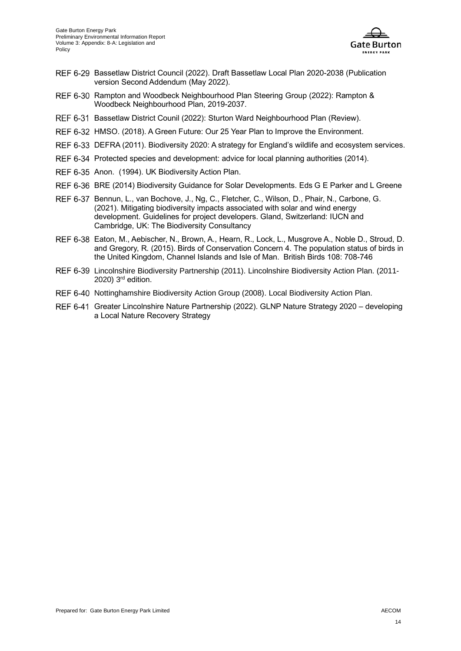

- <span id="page-17-0"></span>REF 6-29 Bassetlaw District Council (2022). Draft Bassetlaw Local Plan 2020-2038 (Publication version Second Addendum (May 2022).
- <span id="page-17-1"></span>REF 6-30 Rampton and Woodbeck Neighbourhood Plan Steering Group (2022): Rampton & Woodbeck Neighbourhood Plan, 2019-2037.
- <span id="page-17-2"></span>REF 6-31 Bassetlaw District Counil (2022): Sturton Ward Neighbourhood Plan (Review).
- <span id="page-17-3"></span>REF 6-32 HMSO. (2018). A Green Future: Our 25 Year Plan to Improve the Environment.
- <span id="page-17-4"></span>REF 6-33 DEFRA (2011). Biodiversity 2020: A strategy for England's wildlife and ecosystem services.
- <span id="page-17-5"></span>REF 6-34 Protected species and development: advice for local planning authorities (2014).
- <span id="page-17-6"></span>REF 6-35 Anon. (1994). UK Biodiversity Action Plan.
- <span id="page-17-7"></span>REF 6-36 BRE (2014) Biodiversity Guidance for Solar Developments. Eds G E Parker and L Greene
- <span id="page-17-8"></span>REF 6-37 Bennun, L., van Bochove, J., Ng, C., Fletcher, C., Wilson, D., Phair, N., Carbone, G. (2021). Mitigating biodiversity impacts associated with solar and wind energy development. Guidelines for project developers. Gland, Switzerland: IUCN and Cambridge, UK: The Biodiversity Consultancy
- <span id="page-17-9"></span>REF 6-38 Eaton, M., Aebischer, N., Brown, A., Hearn, R., Lock, L., Musgrove A., Noble D., Stroud, D. and Gregory, R. (2015). Birds of Conservation Concern 4. The population status of birds in the United Kingdom, Channel Islands and Isle of Man. British Birds 108: 708-746
- <span id="page-17-10"></span>REF 6-39 Lincolnshire Biodiversity Partnership (2011). Lincolnshire Biodiversity Action Plan. (2011- $2020$ )  $3<sup>rd</sup>$  edition.
- <span id="page-17-11"></span>REF 6-40 Nottinghamshire Biodiversity Action Group (2008). Local Biodiversity Action Plan.
- <span id="page-17-12"></span>REF 6-41 Greater Lincolnshire Nature Partnership (2022). GLNP Nature Strategy 2020 - developing a Local Nature Recovery Strategy